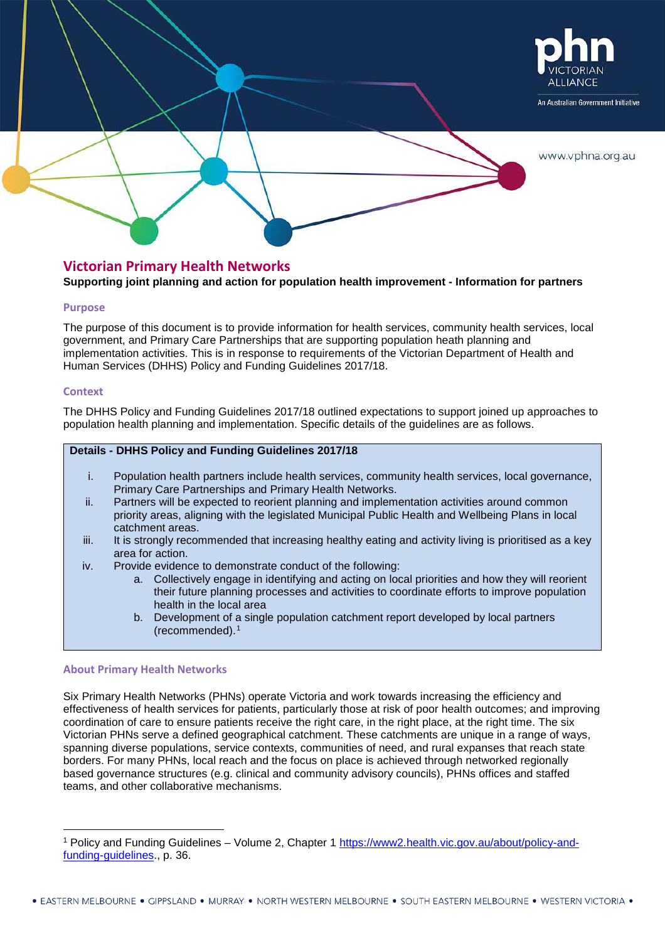

# **Victorian Primary Health Networks**

## **Supporting joint planning and action for population health improvement - Information for partners**

## **Purpose**

The purpose of this document is to provide information for health services, community health services, local government, and Primary Care Partnerships that are supporting population heath planning and implementation activities. This is in response to requirements of the Victorian Department of Health and Human Services (DHHS) Policy and Funding Guidelines 2017/18.

## **Context**

The DHHS Policy and Funding Guidelines 2017/18 outlined expectations to support joined up approaches to population health planning and implementation. Specific details of the guidelines are as follows.

## **Details - DHHS Policy and Funding Guidelines 2017/18**

- i. Population health partners include health services, community health services, local governance, Primary Care Partnerships and Primary Health Networks.
- ii. Partners will be expected to reorient planning and implementation activities around common priority areas, aligning with the legislated Municipal Public Health and Wellbeing Plans in local catchment areas.
- iii. It is strongly recommended that increasing healthy eating and activity living is prioritised as a key area for action.
- iv. Provide evidence to demonstrate conduct of the following:
	- a. Collectively engage in identifying and acting on local priorities and how they will reorient their future planning processes and activities to coordinate efforts to improve population health in the local area
	- b. Development of a single population catchment report developed by local partners (recommended).[1](#page-0-0)

## **About Primary Health Networks**

Six Primary Health Networks (PHNs) operate Victoria and work towards increasing the efficiency and effectiveness of health services for patients, particularly those at risk of poor health outcomes; and improving coordination of care to ensure patients receive the right care, in the right place, at the right time. The six Victorian PHNs serve a defined geographical catchment. These catchments are unique in a range of ways, spanning diverse populations, service contexts, communities of need, and rural expanses that reach state borders. For many PHNs, local reach and the focus on place is achieved through networked regionally based governance structures (e.g. clinical and community advisory councils), PHNs offices and staffed teams, and other collaborative mechanisms.

<span id="page-0-0"></span> <sup>1</sup> Policy and Funding Guidelines – Volume 2, Chapter 1 [https://www2.health.vic.gov.au/about/policy-and](https://www2.health.vic.gov.au/about/policy-and-funding-guidelines)[funding-guidelines.](https://www2.health.vic.gov.au/about/policy-and-funding-guidelines), p. 36.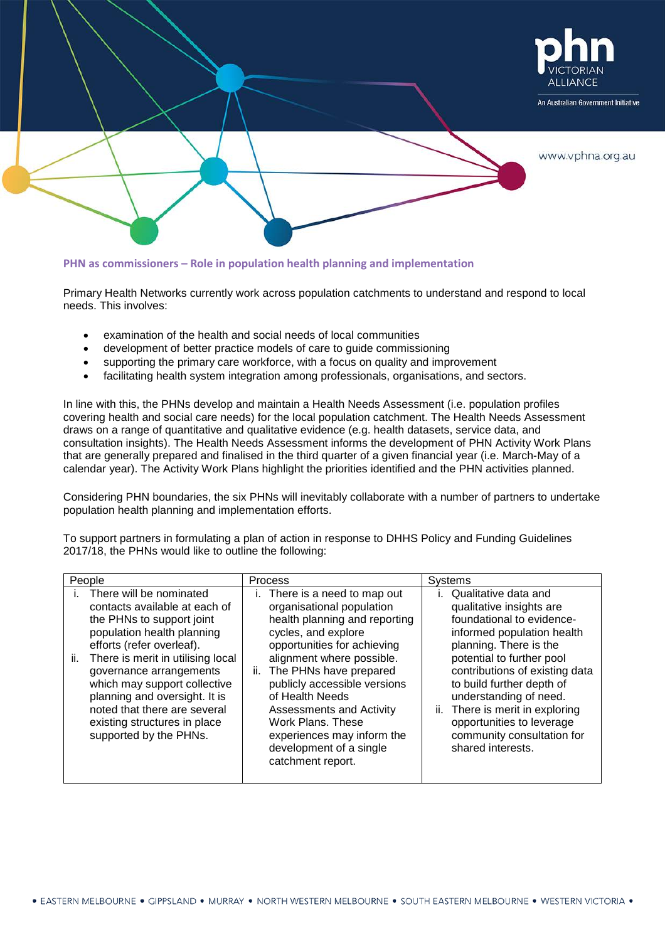

## **PHN as commissioners – Role in population health planning and implementation**

Primary Health Networks currently work across population catchments to understand and respond to local needs. This involves:

- examination of the health and social needs of local communities
- development of better practice models of care to guide commissioning
- supporting the primary care workforce, with a focus on quality and improvement
- facilitating health system integration among professionals, organisations, and sectors.

In line with this, the PHNs develop and maintain a Health Needs Assessment (i.e. population profiles covering health and social care needs) for the local population catchment. The Health Needs Assessment draws on a range of quantitative and qualitative evidence (e.g. health datasets, service data, and consultation insights). The Health Needs Assessment informs the development of PHN Activity Work Plans that are generally prepared and finalised in the third quarter of a given financial year (i.e. March-May of a calendar year). The Activity Work Plans highlight the priorities identified and the PHN activities planned.

Considering PHN boundaries, the six PHNs will inevitably collaborate with a number of partners to undertake population health planning and implementation efforts.

To support partners in formulating a plan of action in response to DHHS Policy and Funding Guidelines 2017/18, the PHNs would like to outline the following:

| People                                                                                                                                                                                                                                                                                                                                                                             | Process                                                                                                                                                                                                                                                                                                                                                                                        | <b>Systems</b>                                                                                                                                                                                                                                                                                                                                                                    |
|------------------------------------------------------------------------------------------------------------------------------------------------------------------------------------------------------------------------------------------------------------------------------------------------------------------------------------------------------------------------------------|------------------------------------------------------------------------------------------------------------------------------------------------------------------------------------------------------------------------------------------------------------------------------------------------------------------------------------------------------------------------------------------------|-----------------------------------------------------------------------------------------------------------------------------------------------------------------------------------------------------------------------------------------------------------------------------------------------------------------------------------------------------------------------------------|
| There will be nominated<br>contacts available at each of<br>the PHNs to support joint<br>population health planning<br>efforts (refer overleaf).<br>ii.<br>There is merit in utilising local<br>governance arrangements<br>which may support collective<br>planning and oversight. It is<br>noted that there are several<br>existing structures in place<br>supported by the PHNs. | There is a need to map out<br>organisational population<br>health planning and reporting<br>cycles, and explore<br>opportunities for achieving<br>alignment where possible.<br>The PHNs have prepared<br>II.<br>publicly accessible versions<br>of Health Needs<br>Assessments and Activity<br>Work Plans, These<br>experiences may inform the<br>development of a single<br>catchment report. | Qualitative data and<br>qualitative insights are<br>foundational to evidence-<br>informed population health<br>planning. There is the<br>potential to further pool<br>contributions of existing data<br>to build further depth of<br>understanding of need.<br>There is merit in exploring<br>ii.<br>opportunities to leverage<br>community consultation for<br>shared interests. |